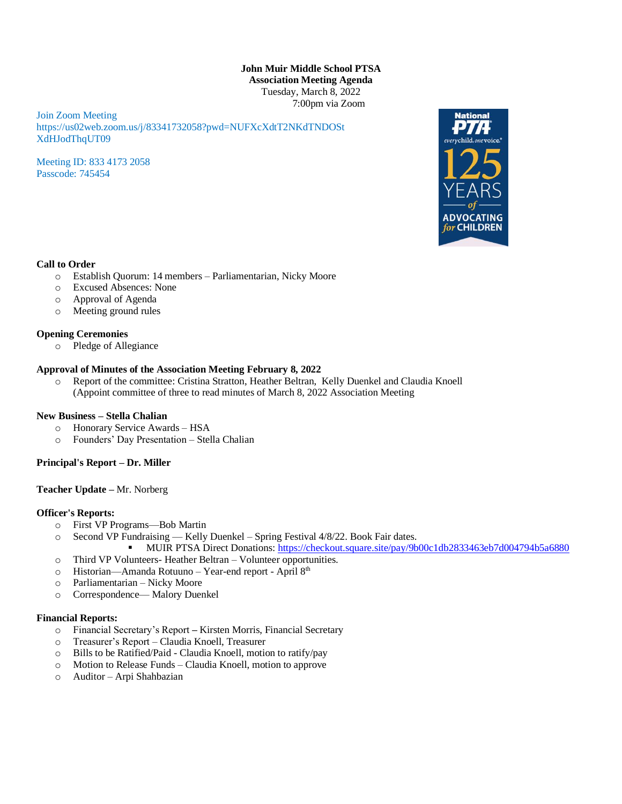# **John Muir Middle School PTSA Association Meeting Agenda** Tuesday, March 8, 2022 7:00pm via Zoom

Join Zoom Meeting https://us02web.zoom.us/j/83341732058?pwd=NUFXcXdtT2NKdTNDOSt XdHJodThqUT09

Meeting ID: 833 4173 2058 Passcode: 745454



## **Call to Order**

- o Establish Quorum: 14 members Parliamentarian, Nicky Moore
- o Excused Absences: None
- o Approval of Agenda
- o Meeting ground rules

### **Opening Ceremonies**

o Pledge of Allegiance

## **Approval of Minutes of the Association Meeting February 8, 2022**

o Report of the committee: Cristina Stratton, Heather Beltran, Kelly Duenkel and Claudia Knoell (Appoint committee of three to read minutes of March 8, 2022 Association Meeting

### **New Business – Stella Chalian**

- o Honorary Service Awards HSA
- o Founders' Day Presentation Stella Chalian

## **Principal's Report – Dr. Miller**

#### **Teacher Update –** Mr. Norberg

#### **Officer's Reports:**

- o First VP Programs—Bob Martin
- o Second VP Fundraising Kelly Duenkel Spring Festival 4/8/22. Book Fair dates.
- MUIR PTSA Direct Donations[: https://checkout.square.site/pay/9b00c1db2833463eb7d004794b5a6880](https://checkout.square.site/pay/9b00c1db2833463eb7d004794b5a6880) o Third VP Volunteers- Heather Beltran – Volunteer opportunities.
- o Historian—Amanda Rotuuno Year-end report April 8th
- o Parliamentarian Nicky Moore
- o Correspondence— Malory Duenkel

#### **Financial Reports:**

- o Financial Secretary's Report **–** Kirsten Morris, Financial Secretary
- o Treasurer's Report Claudia Knoell, Treasurer
- o Bills to be Ratified/Paid Claudia Knoell, motion to ratify/pay
- o Motion to Release Funds Claudia Knoell, motion to approve
- o Auditor Arpi Shahbazian